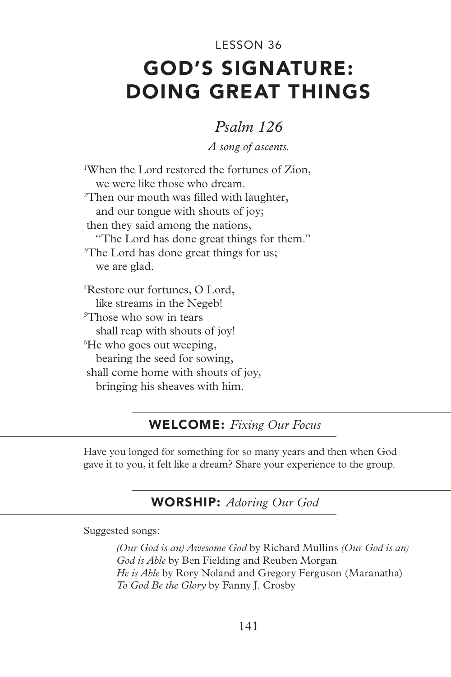# GOD'S SIGNATURE: DOING GREAT THINGS LESSON 36

# *Psalm 126*

*A song of ascents.*

1 When the Lord restored the fortunes of Zion, we were like those who dream. 2 Then our mouth was filled with laughter, and our tongue with shouts of joy; then they said among the nations, "The Lord has done great things for them." <sup>3</sup>The Lord has done great things for us; we are glad. 4 Restore our fortunes, O Lord, like streams in the Negeb! 5 Those who sow in tears shall reap with shouts of joy! 6 He who goes out weeping, bearing the seed for sowing, shall come home with shouts of joy, bringing his sheaves with him.

## WELCOME: *Fixing Our Focus*

Have you longed for something for so many years and then when God gave it to you, it felt like a dream? Share your experience to the group.

## WORSHIP: *Adoring Our God*

Suggested songs:

*(Our God is an) Awesome God* by Richard Mullins *(Our God is an) God is Able* by Ben Fielding and Reuben Morgan *He is Able* by Rory Noland and Gregory Ferguson (Maranatha) *To God Be the Glory* by Fanny J. Crosby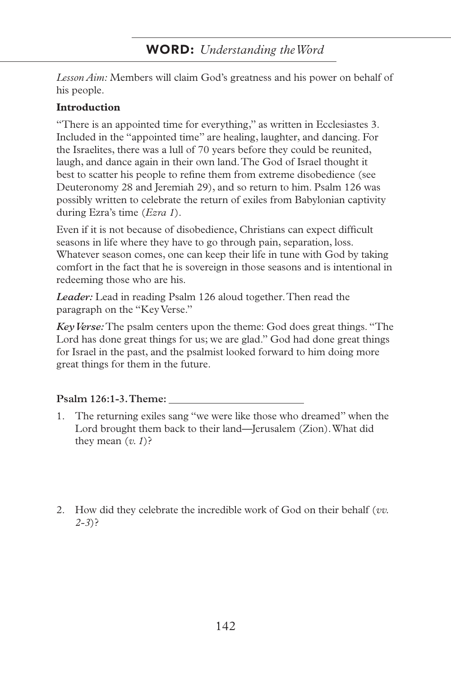# WORD: *Understanding the Word*

*Lesson Aim:* Members will claim God's greatness and his power on behalf of his people.

#### **Introduction**

"There is an appointed time for everything," as written in Ecclesiastes 3. Included in the "appointed time" are healing, laughter, and dancing. For the Israelites, there was a lull of 70 years before they could be reunited, laugh, and dance again in their own land. The God of Israel thought it best to scatter his people to refine them from extreme disobedience (see Deuteronomy 28 and Jeremiah 29), and so return to him. Psalm 126 was possibly written to celebrate the return of exiles from Babylonian captivity during Ezra's time (*Ezra 1*).

Even if it is not because of disobedience, Christians can expect difficult seasons in life where they have to go through pain, separation, loss. Whatever season comes, one can keep their life in tune with God by taking comfort in the fact that he is sovereign in those seasons and is intentional in redeeming those who are his.

*Leader:* Lead in reading Psalm 126 aloud together. Then read the paragraph on the "Key Verse."

*Key Verse:* The psalm centers upon the theme: God does great things. "The Lord has done great things for us; we are glad." God had done great things for Israel in the past, and the psalmist looked forward to him doing more great things for them in the future.

#### **Psalm 126:1-3. Theme:**

- 1. The returning exiles sang "we were like those who dreamed" when the Lord brought them back to their land—Jerusalem (Zion). What did they mean  $(v, 1)$ ?
- 2. How did they celebrate the incredible work of God on their behalf (*vv. 2-3*)?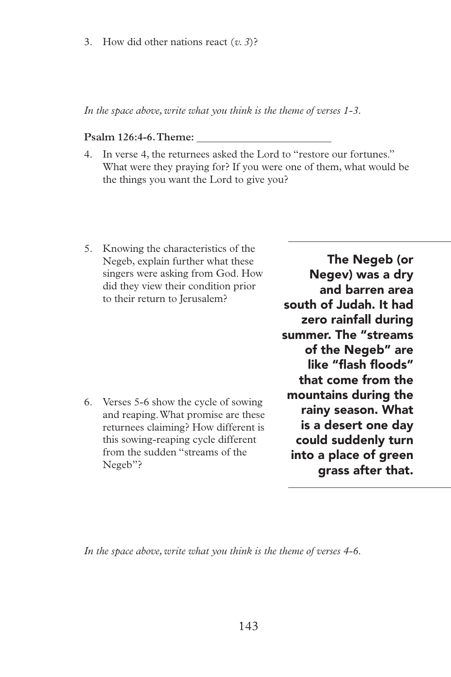3. How did other nations react (*v. 3*)?

*In the space above, write what you think is the theme of verses 1-3.*

#### **Psalm 126:4-6. Theme:**

- 4. In verse 4, the returnees asked the Lord to "restore our fortunes." What were they praying for? If you were one of them, what would be the things you want the Lord to give you?
- 5. Knowing the characteristics of the Negeb, explain further what these singers were asking from God. How did they view their condition prior to their return to Jerusalem?

6. Verses 5-6 show the cycle of sowing and reaping. What promise are these returnees claiming? How different is this sowing-reaping cycle different from the sudden "streams of the Negeb"?

The Negeb (or Negev) was a dry and barren area south of Judah. It had zero rainfall during summer. The "streams of the Negeb" are like "flash floods" that come from the mountains during the rainy season. What is a desert one day could suddenly turn into a place of green grass after that.

*In the space above, write what you think is the theme of verses 4-6.*